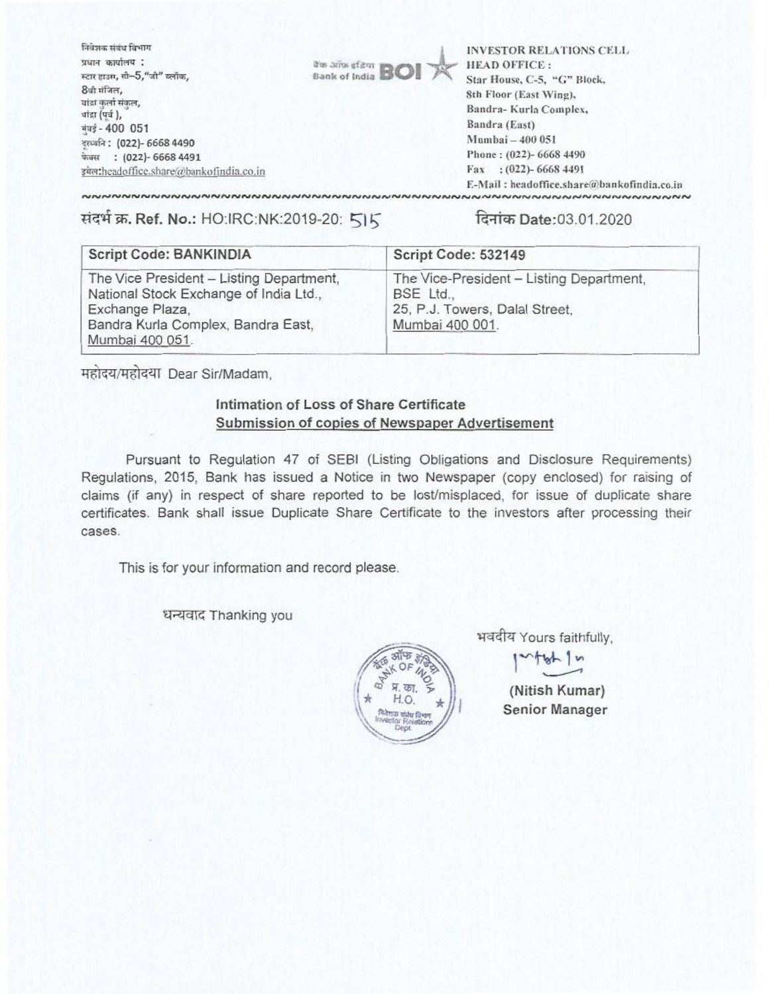निवेशक संबंध विभाग **INVESTOR RELATIONS CELL** प्रधान कार्यालय : **HEAD OFFICE:** arts arios af **Bank of India** स्टार हाउस, सी-5,"जी" ब्लॉक, Star House, C-5, "G" Block, 8वी मंजिल, 8th Floor (East Wing), यांद्रा कुर्ला संकल, Bandra-Kurla Complex, गांडा (पूर्व), Bandra (East) मंबई - 400 051 Mumbai - 400 051 दस्थ्वनि: (022)- 6668 4490 Phone: (022)- 6668 4490 फेक्स : (022)- 6668 4491 Fax: (022)-6668 4491 इमेल:headoffice.share@bankofindia.co.in E-Mail: headoffice.share@bankofindia.co.in 

संदर्भ क्र. Ref. No.: HO:IRC:NK:2019-20: 515

दिनांक Date:03.01.2020

| <b>Script Code: BANKINDIA</b>                                                                                                                                  | Script Code: 532149                                                                                        |
|----------------------------------------------------------------------------------------------------------------------------------------------------------------|------------------------------------------------------------------------------------------------------------|
| The Vice President - Listing Department,<br>National Stock Exchange of India Ltd.,<br>Exchange Plaza,<br>Bandra Kurla Complex, Bandra East,<br>Mumbai 400 051. | The Vice-President - Listing Department,<br>BSE Ltd.,<br>25, P.J. Towers, Dalal Street,<br>Mumbai 400 001. |

महोदय/महोदया Dear Sir/Madam,

## Intimation of Loss of Share Certificate Submission of copies of Newspaper Advertisement

Pursuant to Regulation 47 of SEBI (Listing Obligations and Disclosure Requirements) Regulations, 2015, Bank has issued a Notice in two Newspaper (copy enclosed) for raising of claims (if any) in respect of share reported to be lost/misplaced, for issue of duplicate share certificates. Bank shall issue Duplicate Share Certificate to the investors after processing their cases.

This is for your information and record please.

धन्यवाद Thanking you



भवदीय Yours faithfully,

 $r + b + b$ 

(Nitish Kumar) **Senior Manager**